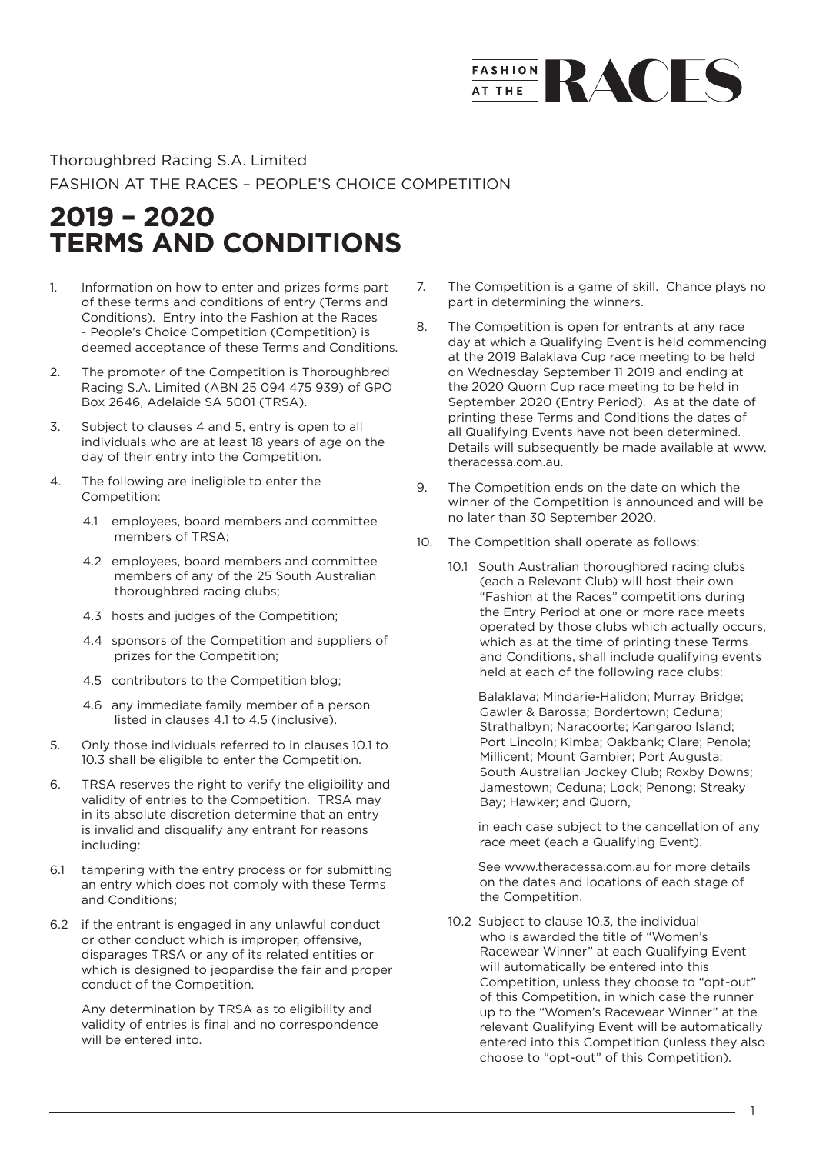## **FASHION** RACES

## Thoroughbred Racing S.A. Limited FASHION AT THE RACES – PEOPLE'S CHOICE COMPETITION

## **2019 – 2020 TERMS AND CONDITIONS**

- 1. Information on how to enter and prizes forms part of these terms and conditions of entry (Terms and Conditions). Entry into the Fashion at the Races - People's Choice Competition (Competition) is deemed acceptance of these Terms and Conditions.
- 2. The promoter of the Competition is Thoroughbred Racing S.A. Limited (ABN 25 094 475 939) of GPO Box 2646, Adelaide SA 5001 (TRSA).
- 3. Subject to clauses 4 and 5, entry is open to all individuals who are at least 18 years of age on the day of their entry into the Competition.
- 4. The following are ineligible to enter the Competition:
	- 4.1 employees, board members and committee members of TRSA<sup>.</sup>
	- 4.2 employees, board members and committee members of any of the 25 South Australian thoroughbred racing clubs;
	- 4.3 hosts and judges of the Competition;
	- 4.4 sponsors of the Competition and suppliers of prizes for the Competition;
	- 4.5 contributors to the Competition blog;
	- 4.6 any immediate family member of a person listed in clauses 4.1 to 4.5 (inclusive).
- 5. Only those individuals referred to in clauses 10.1 to 10.3 shall be eligible to enter the Competition.
- 6. TRSA reserves the right to verify the eligibility and validity of entries to the Competition. TRSA may in its absolute discretion determine that an entry is invalid and disqualify any entrant for reasons including:
- 6.1 tampering with the entry process or for submitting an entry which does not comply with these Terms and Conditions;
- 6.2 if the entrant is engaged in any unlawful conduct or other conduct which is improper, offensive, disparages TRSA or any of its related entities or which is designed to jeopardise the fair and proper conduct of the Competition.

Any determination by TRSA as to eligibility and validity of entries is final and no correspondence will be entered into.

- 7. The Competition is a game of skill. Chance plays no part in determining the winners.
- 8. The Competition is open for entrants at any race day at which a Qualifying Event is held commencing at the 2019 Balaklava Cup race meeting to be held on Wednesday September 11 2019 and ending at the 2020 Quorn Cup race meeting to be held in September 2020 (Entry Period). As at the date of printing these Terms and Conditions the dates of all Qualifying Events have not been determined. Details will subsequently be made available at www. theracessa.com.au.
- 9. The Competition ends on the date on which the winner of the Competition is announced and will be no later than 30 September 2020.
- 10. The Competition shall operate as follows:
	- 10.1 South Australian thoroughbred racing clubs (each a Relevant Club) will host their own "Fashion at the Races" competitions during the Entry Period at one or more race meets operated by those clubs which actually occurs, which as at the time of printing these Terms and Conditions, shall include qualifying events held at each of the following race clubs:

Balaklava; Mindarie-Halidon; Murray Bridge; Gawler & Barossa; Bordertown; Ceduna; Strathalbyn; Naracoorte; Kangaroo Island; Port Lincoln; Kimba; Oakbank; Clare; Penola; Millicent; Mount Gambier; Port Augusta; South Australian Jockey Club; Roxby Downs; Jamestown; Ceduna; Lock; Penong; Streaky Bay; Hawker; and Quorn,

in each case subject to the cancellation of any race meet (each a Qualifying Event).

See www.theracessa.com.au for more details on the dates and locations of each stage of the Competition.

10.2 Subject to clause 10.3, the individual who is awarded the title of "Women's Racewear Winner" at each Qualifying Event will automatically be entered into this Competition, unless they choose to "opt-out" of this Competition, in which case the runner up to the "Women's Racewear Winner" at the relevant Qualifying Event will be automatically entered into this Competition (unless they also choose to "opt-out" of this Competition).

1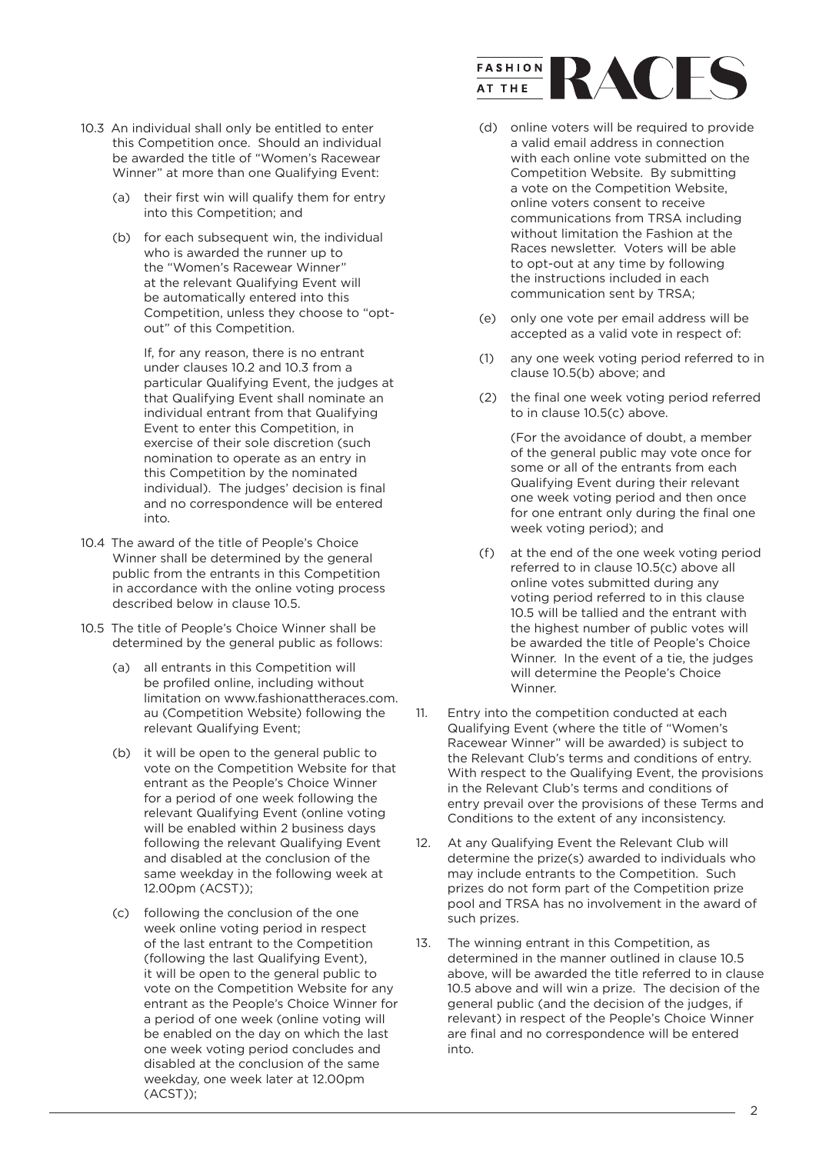- 10.3 An individual shall only be entitled to enter this Competition once. Should an individual be awarded the title of "Women's Racewear Winner" at more than one Qualifying Event:
	- (a) their first win will qualify them for entry into this Competition; and
	- (b) for each subsequent win, the individual who is awarded the runner up to the "Women's Racewear Winner" at the relevant Qualifying Event will be automatically entered into this Competition, unless they choose to "optout" of this Competition.

If, for any reason, there is no entrant under clauses 10.2 and 10.3 from a particular Qualifying Event, the judges at that Qualifying Event shall nominate an individual entrant from that Qualifying Event to enter this Competition, in exercise of their sole discretion (such nomination to operate as an entry in this Competition by the nominated individual). The judges' decision is final and no correspondence will be entered into.

- 10.4 The award of the title of People's Choice Winner shall be determined by the general public from the entrants in this Competition in accordance with the online voting process described below in clause 10.5.
- 10.5 The title of People's Choice Winner shall be determined by the general public as follows:
	- (a) all entrants in this Competition will be profiled online, including without limitation on www.fashionattheraces.com. au (Competition Website) following the relevant Qualifying Event;
	- (b) it will be open to the general public to vote on the Competition Website for that entrant as the People's Choice Winner for a period of one week following the relevant Qualifying Event (online voting will be enabled within 2 business days following the relevant Qualifying Event and disabled at the conclusion of the same weekday in the following week at 12.00pm (ACST));
	- (c) following the conclusion of the one week online voting period in respect of the last entrant to the Competition (following the last Qualifying Event), it will be open to the general public to vote on the Competition Website for any entrant as the People's Choice Winner for a period of one week (online voting will be enabled on the day on which the last one week voting period concludes and disabled at the conclusion of the same weekday, one week later at 12.00pm (ACST));



- (d) online voters will be required to provide a valid email address in connection with each online vote submitted on the Competition Website. By submitting a vote on the Competition Website, online voters consent to receive communications from TRSA including without limitation the Fashion at the Races newsletter. Voters will be able to opt-out at any time by following the instructions included in each communication sent by TRSA;
- (e) only one vote per email address will be accepted as a valid vote in respect of:
- (1) any one week voting period referred to in clause 10.5(b) above; and
- (2) the final one week voting period referred to in clause 10.5(c) above.

(For the avoidance of doubt, a member of the general public may vote once for some or all of the entrants from each Qualifying Event during their relevant one week voting period and then once for one entrant only during the final one week voting period); and

- (f) at the end of the one week voting period referred to in clause 10.5(c) above all online votes submitted during any voting period referred to in this clause 10.5 will be tallied and the entrant with the highest number of public votes will be awarded the title of People's Choice Winner. In the event of a tie, the judges will determine the People's Choice Winner.
- 11. Entry into the competition conducted at each Qualifying Event (where the title of "Women's Racewear Winner" will be awarded) is subject to the Relevant Club's terms and conditions of entry. With respect to the Qualifying Event, the provisions in the Relevant Club's terms and conditions of entry prevail over the provisions of these Terms and Conditions to the extent of any inconsistency.
- 12. At any Qualifying Event the Relevant Club will determine the prize(s) awarded to individuals who may include entrants to the Competition. Such prizes do not form part of the Competition prize pool and TRSA has no involvement in the award of such prizes.
- 13. The winning entrant in this Competition, as determined in the manner outlined in clause 10.5 above, will be awarded the title referred to in clause 10.5 above and will win a prize. The decision of the general public (and the decision of the judges, if relevant) in respect of the People's Choice Winner are final and no correspondence will be entered into.